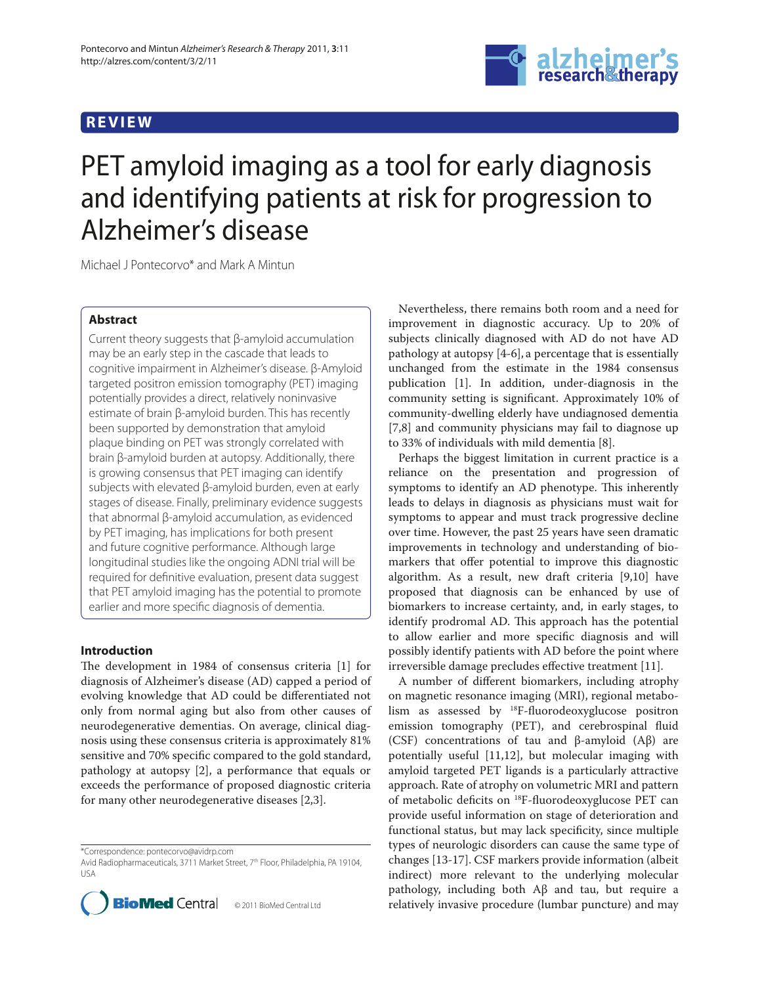## **REVIEW**



# PET amyloid imaging as a tool for early diagnosis and identifying patients at risk for progression to Alzheimer's disease

Michael J Pontecorvo\* and Mark A Mintun

## **Abstract**

Current theory suggests that β-amyloid accumulation may be an early step in the cascade that leads to cognitive impairment in Alzheimer's disease. β-Amyloid targeted positron emission tomography (PET) imaging potentially provides a direct, relatively noninvasive estimate of brain β-amyloid burden. This has recently been supported by demonstration that amyloid plaque binding on PET was strongly correlated with brain β-amyloid burden at autopsy. Additionally, there is growing consensus that PET imaging can identify subjects with elevated β-amyloid burden, even at early stages of disease. Finally, preliminary evidence suggests that abnormal β-amyloid accumulation, as evidenced by PET imaging, has implications for both present and future cognitive performance. Although large longitudinal studies like the ongoing ADNI trial will be required for definitive evaluation, present data suggest that PET amyloid imaging has the potential to promote earlier and more specific diagnosis of dementia.

### **Introduction**

The development in 1984 of consensus criteria [1] for diagnosis of Alzheimer's disease (AD) capped a period of evolving knowledge that AD could be differentiated not only from normal aging but also from other causes of neurodegenerative dementias. On average, clinical diagnosis using these consensus criteria is approximately 81% sensitive and 70% specific compared to the gold standard, pathology at autopsy [2], a performance that equals or exceeds the performance of proposed diagnostic criteria for many other neurodegenerative diseases [2,3].

\*Correspondence: pontecorvo@avidrp.com

Avid Radiopharmaceuticals, 3711 Market Street, 7<sup>th</sup> Floor, Philadelphia, PA 19104, USA



Nevertheless, there remains both room and a need for improvement in diagnostic accuracy. Up to 20% of subjects clinically diagnosed with AD do not have AD pathology at autopsy [4-6], a percentage that is essentially unchanged from the estimate in the 1984 consensus publication [1]. In addition, under-diagnosis in the community setting is significant. Approximately 10% of community-dwelling elderly have undiagnosed dementia [7,8] and community physicians may fail to diagnose up to 33% of individuals with mild dementia [8].

Perhaps the biggest limitation in current practice is a reliance on the presentation and progression of symptoms to identify an AD phenotype. This inherently leads to delays in diagnosis as physicians must wait for symptoms to appear and must track progressive decline over time. However, the past 25 years have seen dramatic improvements in technology and understanding of biomarkers that offer potential to improve this diagnostic algorithm. As a result, new draft criteria [9,10] have proposed that diagnosis can be enhanced by use of biomarkers to increase certainty, and, in early stages, to identify prodromal AD. This approach has the potential to allow earlier and more specific diagnosis and will possibly identify patients with AD before the point where irreversible damage precludes effective treatment [11].

A number of different biomarkers, including atrophy on magnetic resonance imaging (MRI), regional metabolism as assessed by <sup>18</sup>F-fluorodeoxyglucose positron emission tomography (PET), and cerebrospinal fluid (CSF) concentrations of tau and β-amyloid (Aβ) are potentially useful [11,12], but molecular imaging with amyloid targeted PET ligands is a particularly attractive approach. Rate of atrophy on volumetric MRI and pattern of metabolic deficits on  $^{18}F$ -fluorodeoxyglucose PET can provide useful information on stage of deterioration and functional status, but may lack specificity, since multiple types of neurologic disorders can cause the same type of changes [13-17]. CSF markers provide information (albeit indirect) more relevant to the underlying molecular pathology, including both Aβ and tau, but require a relatively invasive procedure (lumbar puncture) and may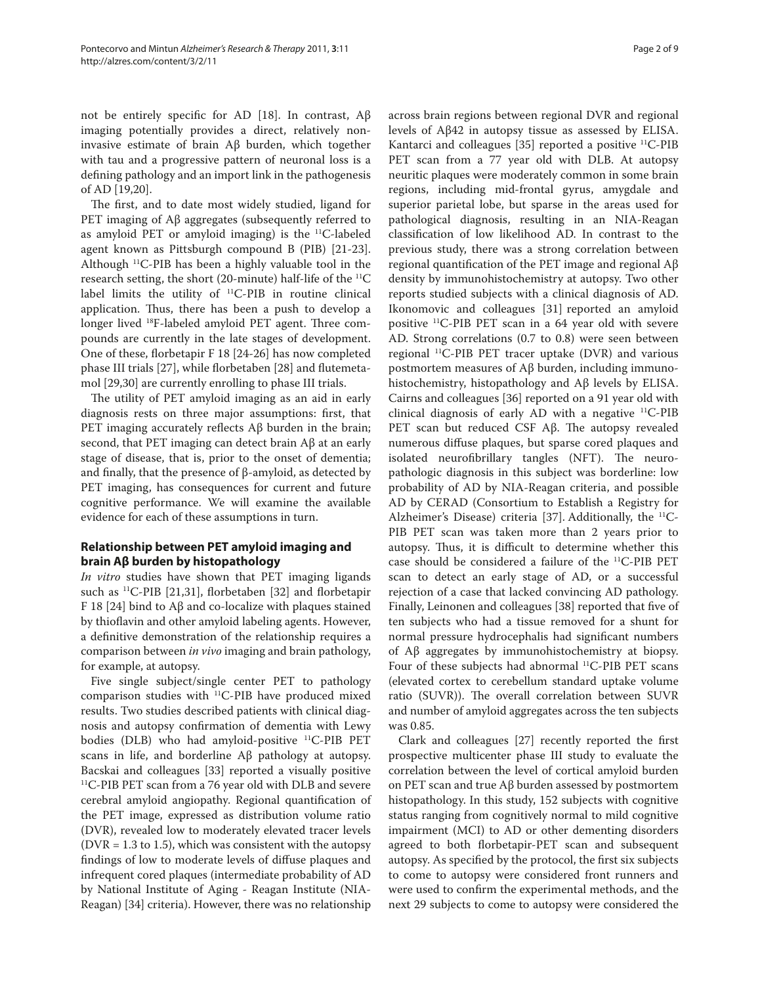not be entirely specific for AD [18]. In contrast,  $A\beta$ imaging potentially provides a direct, relatively noninvasive estimate of brain Aβ burden, which together with tau and a progressive pattern of neuronal loss is a defining pathology and an import link in the pathogenesis of AD [19,20].

The first, and to date most widely studied, ligand for PET imaging of Aβ aggregates (subsequently referred to as amyloid PET or amyloid imaging) is the  $^{11}$ C-labeled agent known as Pittsburgh compound B (PIB) [21-23]. Although 11C-PIB has been a highly valuable tool in the research setting, the short (20-minute) half-life of the 11C label limits the utility of 11C-PIB in routine clinical application. Thus, there has been a push to develop a longer lived <sup>18</sup>F-labeled amyloid PET agent. Three compounds are currently in the late stages of development. One of these, florbetapir F 18  $[24-26]$  has now completed phase III trials [27], while florbetaben [28] and flutemetamol [29,30] are currently enrolling to phase III trials.

The utility of PET amyloid imaging as an aid in early diagnosis rests on three major assumptions: first, that PET imaging accurately reflects  $Aβ$  burden in the brain; second, that PET imaging can detect brain Aβ at an early stage of disease, that is, prior to the onset of dementia; and finally, that the presence of  $\beta$ -amyloid, as detected by PET imaging, has consequences for current and future cognitive performance. We will examine the available evidence for each of these assumptions in turn.

## **Relationship between PET amyloid imaging and brain Aβ burden by histopathology**

*In vitro* studies have shown that PET imaging ligands such as <sup>11</sup>C-PIB [21,31], florbetaben [32] and florbetapir F 18 [24] bind to Aβ and co-localize with plaques stained by thioflavin and other amyloid labeling agents. However, a definitive demonstration of the relationship requires a comparison between *in vivo* imaging and brain pathology, for example, at autopsy.

Five single subject/single center PET to pathology comparison studies with 11C-PIB have produced mixed results. Two studies described patients with clinical diagnosis and autopsy confirmation of dementia with Lewy bodies (DLB) who had amyloid-positive 11C-PIB PET scans in life, and borderline Aβ pathology at autopsy. Bacskai and colleagues [33] reported a visually positive 11C-PIB PET scan from a 76 year old with DLB and severe cerebral amyloid angiopathy. Regional quantification of the PET image, expressed as distribution volume ratio (DVR), revealed low to moderately elevated tracer levels  $(DVR = 1.3$  to 1.5), which was consistent with the autopsy findings of low to moderate levels of diffuse plaques and infrequent cored plaques (intermediate probability of AD by National Institute of Aging - Reagan Institute (NIA-Reagan) [34] criteria). However, there was no relationship across brain regions between regional DVR and regional levels of Aβ42 in autopsy tissue as assessed by ELISA. Kantarci and colleagues [35] reported a positive <sup>11</sup>C-PIB PET scan from a 77 year old with DLB. At autopsy neuritic plaques were moderately common in some brain regions, including mid-frontal gyrus, amygdale and superior parietal lobe, but sparse in the areas used for pathological diagnosis, resulting in an NIA-Reagan classification of low likelihood AD. In contrast to the previous study, there was a strong correlation between regional quantification of the PET image and regional  $A\beta$ density by immunohistochemistry at autopsy. Two other reports studied subjects with a clinical diagnosis of AD. Ikonomovic and colleagues [31] reported an amyloid positive 11C-PIB PET scan in a 64 year old with severe AD. Strong correlations (0.7 to 0.8) were seen between regional 11C-PIB PET tracer uptake (DVR) and various postmortem measures of Aβ burden, including immunohistochemistry, histopathology and Aβ levels by ELISA. Cairns and colleagues [36] reported on a 91 year old with clinical diagnosis of early AD with a negative  $^{11}$ C-PIB PET scan but reduced CSF Aβ. The autopsy revealed numerous diffuse plaques, but sparse cored plaques and isolated neurofibrillary tangles (NFT). The neuropathologic diagnosis in this subject was borderline: low probability of AD by NIA-Reagan criteria, and possible AD by CERAD (Consortium to Establish a Registry for Alzheimer's Disease) criteria [37]. Additionally, the <sup>11</sup>C-PIB PET scan was taken more than 2 years prior to autopsy. Thus, it is difficult to determine whether this case should be considered a failure of the 11C-PIB PET scan to detect an early stage of AD, or a successful rejection of a case that lacked convincing AD pathology. Finally, Leinonen and colleagues [38] reported that five of ten subjects who had a tissue removed for a shunt for normal pressure hydrocephalis had significant numbers of Aβ aggregates by immunohistochemistry at biopsy. Four of these subjects had abnormal <sup>11</sup>C-PIB PET scans (elevated cortex to cerebellum standard uptake volume ratio (SUVR)). The overall correlation between SUVR and number of amyloid aggregates across the ten subjects was 0.85.

Clark and colleagues  $[27]$  recently reported the first prospective multicenter phase III study to evaluate the correlation between the level of cortical amyloid burden on PET scan and true Aβ burden assessed by postmortem histopathology. In this study, 152 subjects with cognitive status ranging from cognitively normal to mild cognitive impairment (MCI) to AD or other dementing disorders agreed to both florbetapir-PET scan and subsequent autopsy. As specified by the protocol, the first six subjects to come to autopsy were considered front runners and were used to confirm the experimental methods, and the next 29 subjects to come to autopsy were considered the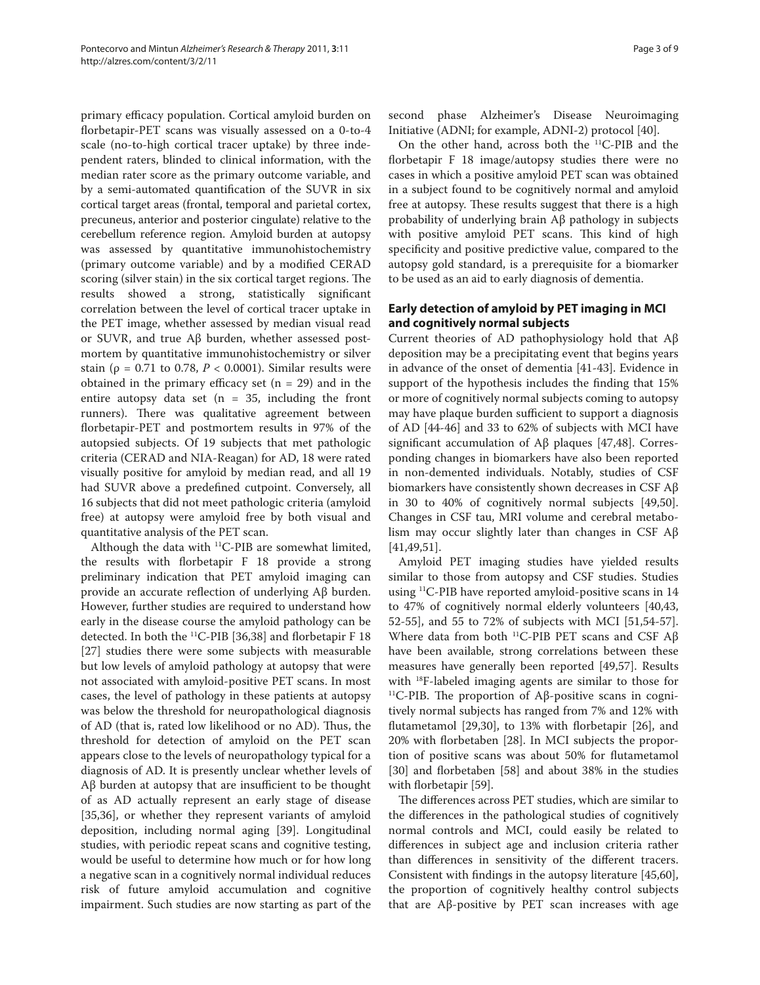primary efficacy population. Cortical amyloid burden on florbetapir-PET scans was visually assessed on a 0-to-4 scale (no-to-high cortical tracer uptake) by three independent raters, blinded to clinical information, with the median rater score as the primary outcome variable, and by a semi-automated quantification of the SUVR in six cortical target areas (frontal, temporal and parietal cortex, precuneus, anterior and posterior cingulate) relative to the cerebellum reference region. Amyloid burden at autopsy was assessed by quantitative immunohistochemistry (primary outcome variable) and by a modified CERAD scoring (silver stain) in the six cortical target regions. The results showed a strong, statistically significant correlation between the level of cortical tracer uptake in the PET image, whether assessed by median visual read or SUVR, and true Aβ burden, whether assessed postmortem by quantitative immunohistochemistry or silver stain ( $\rho = 0.71$  to 0.78,  $P < 0.0001$ ). Similar results were obtained in the primary efficacy set  $(n = 29)$  and in the entire autopsy data set ( $n = 35$ , including the front runners). There was qualitative agreement between florbetapir-PET and postmortem results in 97% of the autopsied subjects. Of 19 subjects that met pathologic criteria (CERAD and NIA-Reagan) for AD, 18 were rated visually positive for amyloid by median read, and all 19 had SUVR above a predefined cutpoint. Conversely, all 16 subjects that did not meet pathologic criteria (amyloid free) at autopsy were amyloid free by both visual and quantitative analysis of the PET scan.

Although the data with  $^{11}$ C-PIB are somewhat limited, the results with florbetapir  $F$  18 provide a strong preliminary indication that PET amyloid imaging can provide an accurate reflection of underlying  $Aβ$  burden. However, further studies are required to understand how early in the disease course the amyloid pathology can be detected. In both the  $^{11}$ C-PIB [36,38] and florbetapir F 18 [27] studies there were some subjects with measurable but low levels of amyloid pathology at autopsy that were not associated with amyloid-positive PET scans. In most cases, the level of pathology in these patients at autopsy was below the threshold for neuropathological diagnosis of AD (that is, rated low likelihood or no AD). Thus, the threshold for detection of amyloid on the PET scan appears close to the levels of neuropathology typical for a diagnosis of AD. It is presently unclear whether levels of Aβ burden at autopsy that are insufficient to be thought of as AD actually represent an early stage of disease [35,36], or whether they represent variants of amyloid deposition, including normal aging [39]. Longitudinal studies, with periodic repeat scans and cognitive testing, would be useful to determine how much or for how long a negative scan in a cognitively normal individual reduces risk of future amyloid accumulation and cognitive impairment. Such studies are now starting as part of the

second phase Alzheimer's Disease Neuroimaging Initiative (ADNI; for example, ADNI-2) protocol [40].

On the other hand, across both the 11C-PIB and the florbetapir F 18 image/autopsy studies there were no cases in which a positive amyloid PET scan was obtained in a subject found to be cognitively normal and amyloid free at autopsy. These results suggest that there is a high probability of underlying brain Aβ pathology in subjects with positive amyloid PET scans. This kind of high specificity and positive predictive value, compared to the autopsy gold standard, is a prerequisite for a biomarker to be used as an aid to early diagnosis of dementia.

## **Early detection of amyloid by PET imaging in MCI and cognitively normal subjects**

Current theories of AD pathophysiology hold that Aβ deposition may be a precipitating event that begins years in advance of the onset of dementia [41-43]. Evidence in support of the hypothesis includes the finding that  $15%$ or more of cognitively normal subjects coming to autopsy may have plaque burden sufficient to support a diagnosis of AD [44-46] and 33 to 62% of subjects with MCI have significant accumulation of Aβ plaques [47,48]. Corresponding changes in biomarkers have also been reported in non-demented individuals. Notably, studies of CSF biomarkers have consistently shown decreases in CSF Aβ in 30 to 40% of cognitively normal subjects [49,50]. Changes in CSF tau, MRI volume and cerebral metabolism may occur slightly later than changes in CSF Aβ [41,49,51].

Amyloid PET imaging studies have yielded results similar to those from autopsy and CSF studies. Studies using 11C-PIB have reported amyloid-positive scans in 14 to 47% of cognitively normal elderly volunteers [40,43, 52-55], and 55 to 72% of subjects with MCI [51,54-57]. Where data from both 11C-PIB PET scans and CSF Aβ have been available, strong correlations between these measures have generally been reported [49,57]. Results with <sup>18</sup>F-labeled imaging agents are similar to those for <sup>11</sup>C-PIB. The proportion of Aβ-positive scans in cognitively normal subjects has ranged from 7% and 12% with flutametamol  $[29,30]$ , to 13% with florbetapir  $[26]$ , and 20% with florbetaben [28]. In MCI subjects the proportion of positive scans was about 50% for flutametamol [30] and florbetaben [58] and about 38% in the studies with florbetapir [59].

The differences across PET studies, which are similar to the differences in the pathological studies of cognitively normal controls and MCI, could easily be related to differences in subject age and inclusion criteria rather than differences in sensitivity of the different tracers. Consistent with findings in the autopsy literature [45,60], the proportion of cognitively healthy control subjects that are Aβ-positive by PET scan increases with age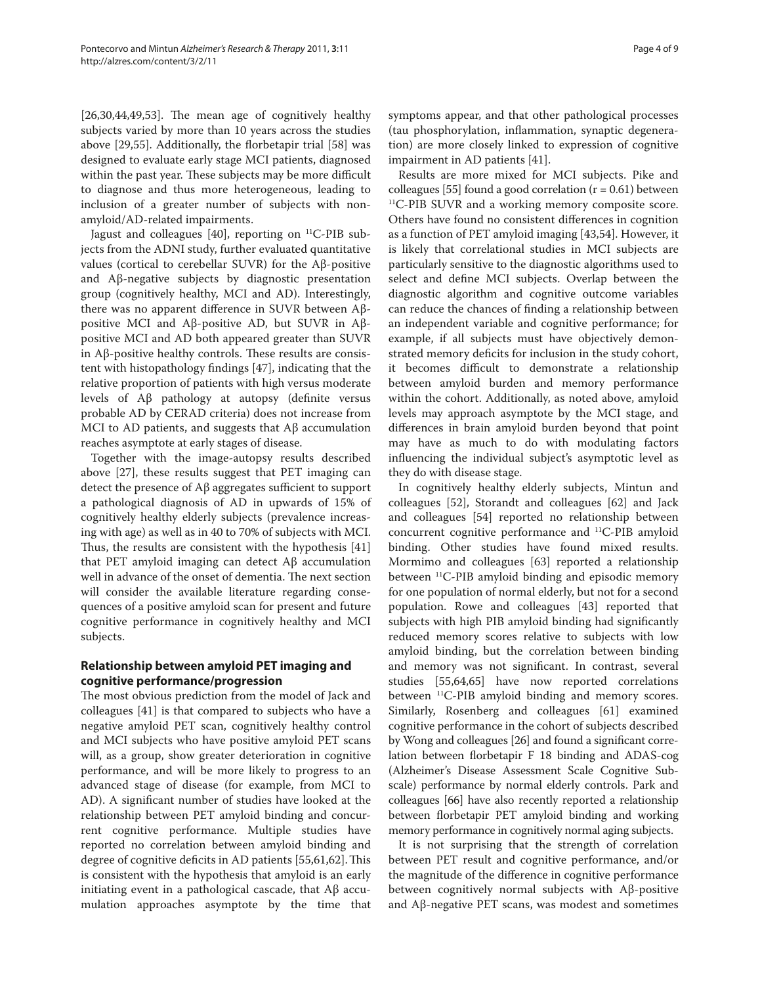$[26,30,44,49,53]$ . The mean age of cognitively healthy subjects varied by more than 10 years across the studies above [29,55]. Additionally, the florbetapir trial [58] was designed to evaluate early stage MCI patients, diagnosed within the past year. These subjects may be more difficult to diagnose and thus more heterogeneous, leading to inclusion of a greater number of subjects with nonamyloid/AD-related impairments.

Jagust and colleagues [40], reporting on  $^{11}$ C-PIB subjects from the ADNI study, further evaluated quantitative values (cortical to cerebellar SUVR) for the Aβ-positive and Aβ-negative subjects by diagnostic presentation group (cognitively healthy, MCI and AD). Interestingly, there was no apparent difference in SUVR between  $Aβ$ positive MCI and Aβ-positive AD, but SUVR in Aβpositive MCI and AD both appeared greater than SUVR in  $\mathsf{A}\beta$ -positive healthy controls. These results are consistent with histopathology findings [47], indicating that the relative proportion of patients with high versus moderate levels of  $A\beta$  pathology at autopsy (definite versus probable AD by CERAD criteria) does not increase from MCI to AD patients, and suggests that Aβ accumulation reaches asymptote at early stages of disease.

Together with the image-autopsy results described above [27], these results suggest that PET imaging can detect the presence of  $\mathbf{A}\beta$  aggregates sufficient to support a pathological diagnosis of AD in upwards of 15% of cognitively healthy elderly subjects (prevalence increasing with age) as well as in 40 to 70% of subjects with MCI. Thus, the results are consistent with the hypothesis  $[41]$ that PET amyloid imaging can detect Aβ accumulation well in advance of the onset of dementia. The next section will consider the available literature regarding consequences of a positive amyloid scan for present and future cognitive performance in cognitively healthy and MCI subjects.

## **Relationship between amyloid PET imaging and cognitive performance/progression**

The most obvious prediction from the model of Jack and colleagues [41] is that compared to subjects who have a negative amyloid PET scan, cognitively healthy control and MCI subjects who have positive amyloid PET scans will, as a group, show greater deterioration in cognitive performance, and will be more likely to progress to an advanced stage of disease (for example, from MCI to AD). A significant number of studies have looked at the relationship between PET amyloid binding and concurrent cognitive performance. Multiple studies have reported no correlation between amyloid binding and degree of cognitive deficits in AD patients [55,61,62]. This is consistent with the hypothesis that amyloid is an early initiating event in a pathological cascade, that Aβ accumulation approaches asymptote by the time that

symptoms appear, and that other pathological processes (tau phosphorylation, inflammation, synaptic degeneration) are more closely linked to expression of cognitive impairment in AD patients [41].

Results are more mixed for MCI subjects. Pike and colleagues [55] found a good correlation ( $r = 0.61$ ) between  $11$ C-PIB SUVR and a working memory composite score. Others have found no consistent differences in cognition as a function of PET amyloid imaging [43,54]. However, it is likely that correlational studies in MCI subjects are particularly sensitive to the diagnostic algorithms used to select and define MCI subjects. Overlap between the diagnostic algorithm and cognitive outcome variables can reduce the chances of finding a relationship between an independent variable and cognitive performance; for example, if all subjects must have objectively demonstrated memory deficits for inclusion in the study cohort, it becomes difficult to demonstrate a relationship between amyloid burden and memory performance within the cohort. Additionally, as noted above, amyloid levels may approach asymptote by the MCI stage, and differences in brain amyloid burden beyond that point may have as much to do with modulating factors influencing the individual subject's asymptotic level as they do with disease stage.

In cognitively healthy elderly subjects, Mintun and colleagues [52], Storandt and colleagues [62] and Jack and colleagues [54] reported no relationship between concurrent cognitive performance and 11C-PIB amyloid binding. Other studies have found mixed results. Mormimo and colleagues [63] reported a relationship between 11C-PIB amyloid binding and episodic memory for one population of normal elderly, but not for a second population. Rowe and colleagues [43] reported that subjects with high PIB amyloid binding had significantly reduced memory scores relative to subjects with low amyloid binding, but the correlation between binding and memory was not significant. In contrast, several studies [55,64,65] have now reported correlations between 11C-PIB amyloid binding and memory scores. Similarly, Rosenberg and colleagues [61] examined cognitive performance in the cohort of subjects described by Wong and colleagues [26] and found a significant correlation between florbetapir F 18 binding and ADAS-cog (Alzheimer's Disease Assessment Scale Cognitive Subscale) performance by normal elderly controls. Park and colleagues [66] have also recently reported a relationship between florbetapir PET amyloid binding and working memory performance in cognitively normal aging subjects.

It is not surprising that the strength of correlation between PET result and cognitive performance, and/or the magnitude of the difference in cognitive performance between cognitively normal subjects with Aβ-positive and Aβ-negative PET scans, was modest and sometimes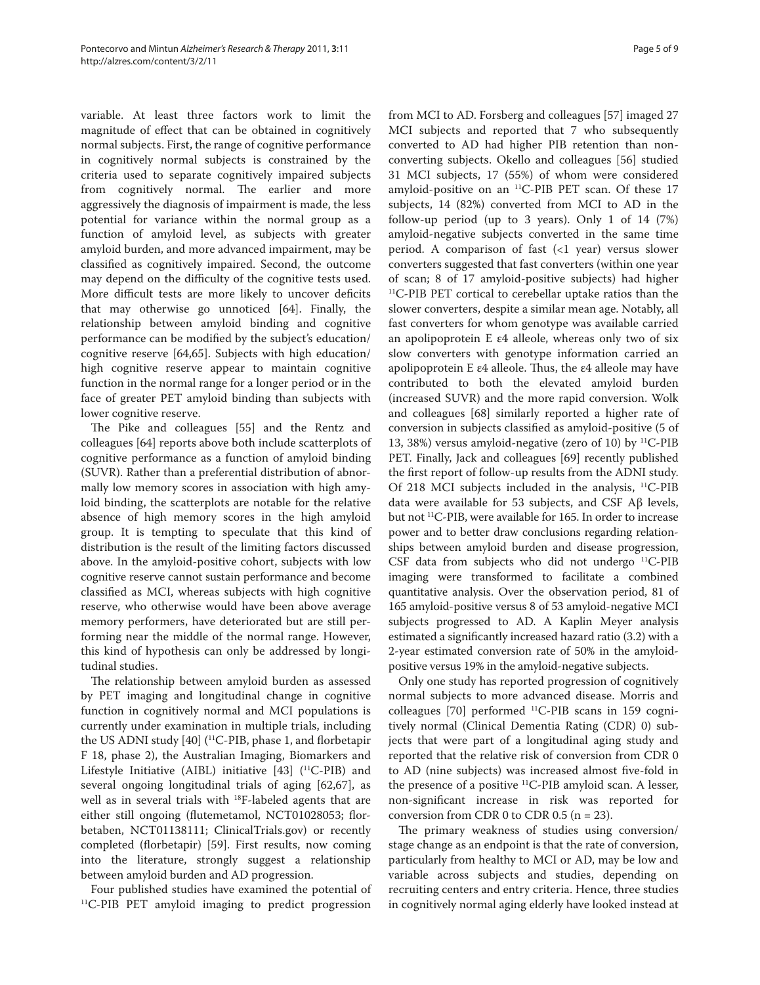variable. At least three factors work to limit the magnitude of effect that can be obtained in cognitively normal subjects. First, the range of cognitive performance in cognitively normal subjects is constrained by the criteria used to separate cognitively impaired subjects from cognitively normal. The earlier and more aggressively the diagnosis of impairment is made, the less potential for variance within the normal group as a function of amyloid level, as subjects with greater amyloid burden, and more advanced impairment, may be classified as cognitively impaired. Second, the outcome may depend on the difficulty of the cognitive tests used. More difficult tests are more likely to uncover deficits that may otherwise go unnoticed [64]. Finally, the relationship between amyloid binding and cognitive performance can be modified by the subject's education/ cognitive reserve [64,65]. Subjects with high education/ high cognitive reserve appear to maintain cognitive function in the normal range for a longer period or in the face of greater PET amyloid binding than subjects with lower cognitive reserve.

The Pike and colleagues [55] and the Rentz and colleagues [64] reports above both include scatterplots of cognitive performance as a function of amyloid binding (SUVR). Rather than a preferential distribution of abnormally low memory scores in association with high amyloid binding, the scatterplots are notable for the relative absence of high memory scores in the high amyloid group. It is tempting to speculate that this kind of distribution is the result of the limiting factors discussed above. In the amyloid-positive cohort, subjects with low cognitive reserve cannot sustain performance and become classified as MCI, whereas subjects with high cognitive reserve, who otherwise would have been above average memory performers, have deteriorated but are still performing near the middle of the normal range. However, this kind of hypothesis can only be addressed by longitudinal studies.

The relationship between amyloid burden as assessed by PET imaging and longitudinal change in cognitive function in cognitively normal and MCI populations is currently under examination in multiple trials, including the US ADNI study  $[40]$  ( $^{11}$ C-PIB, phase 1, and florbetapir F 18, phase 2), the Australian Imaging, Biomarkers and Lifestyle Initiative (AIBL) initiative  $[43]$  (<sup>11</sup>C-PIB) and several ongoing longitudinal trials of aging [62,67], as well as in several trials with <sup>18</sup>F-labeled agents that are either still ongoing (flutemetamol, NCT01028053; florbetaben, NCT01138111; ClinicalTrials.gov) or recently completed (florbetapir) [59]. First results, now coming into the literature, strongly suggest a relationship between amyloid burden and AD progression.

Four published studies have examined the potential of <sup>11</sup>C-PIB PET amyloid imaging to predict progression from MCI to AD. Forsberg and colleagues [57] imaged 27 MCI subjects and reported that 7 who subsequently converted to AD had higher PIB retention than nonconverting subjects. Okello and colleagues [56] studied 31 MCI subjects, 17 (55%) of whom were considered amyloid-positive on an 11C-PIB PET scan. Of these 17 subjects, 14 (82%) converted from MCI to AD in the follow-up period (up to 3 years). Only 1 of 14 (7%) amyloid-negative subjects converted in the same time period. A comparison of fast (<1 year) versus slower converters suggested that fast converters (within one year of scan; 8 of 17 amyloid-positive subjects) had higher 11C-PIB PET cortical to cerebellar uptake ratios than the slower converters, despite a similar mean age. Notably, all fast converters for whom genotype was available carried an apolipoprotein E ε4 alleole, whereas only two of six slow converters with genotype information carried an apolipoprotein E  $\varepsilon$ 4 alleole. Thus, the  $\varepsilon$ 4 alleole may have contributed to both the elevated amyloid burden (increased SUVR) and the more rapid conversion. Wolk and colleagues [68] similarly reported a higher rate of conversion in subjects classified as amyloid-positive (5 of 13, 38%) versus amyloid-negative (zero of 10) by 11C-PIB PET. Finally, Jack and colleagues [69] recently published the first report of follow-up results from the ADNI study. Of 218 MCI subjects included in the analysis, 11C-PIB data were available for 53 subjects, and CSF Aβ levels, but not 11C-PIB, were available for 165. In order to increase power and to better draw conclusions regarding relationships between amyloid burden and disease progression, CSF data from subjects who did not undergo 11C-PIB imaging were transformed to facilitate a combined quantitative analysis. Over the observation period, 81 of 165 amyloid-positive versus 8 of 53 amyloid-negative MCI subjects progressed to AD. A Kaplin Meyer analysis estimated a significantly increased hazard ratio (3.2) with a 2-year estimated conversion rate of 50% in the amyloidpositive versus 19% in the amyloid-negative subjects.

Only one study has reported progression of cognitively normal subjects to more advanced disease. Morris and colleagues [70] performed 11C-PIB scans in 159 cognitively normal (Clinical Dementia Rating (CDR) 0) subjects that were part of a longitudinal aging study and reported that the relative risk of conversion from CDR 0 to AD (nine subjects) was increased almost five-fold in the presence of a positive 11C-PIB amyloid scan. A lesser, non-significant increase in risk was reported for conversion from CDR 0 to CDR 0.5 ( $n = 23$ ).

The primary weakness of studies using conversion/ stage change as an endpoint is that the rate of conversion, particularly from healthy to MCI or AD, may be low and variable across subjects and studies, depending on recruiting centers and entry criteria. Hence, three studies in cognitively normal aging elderly have looked instead at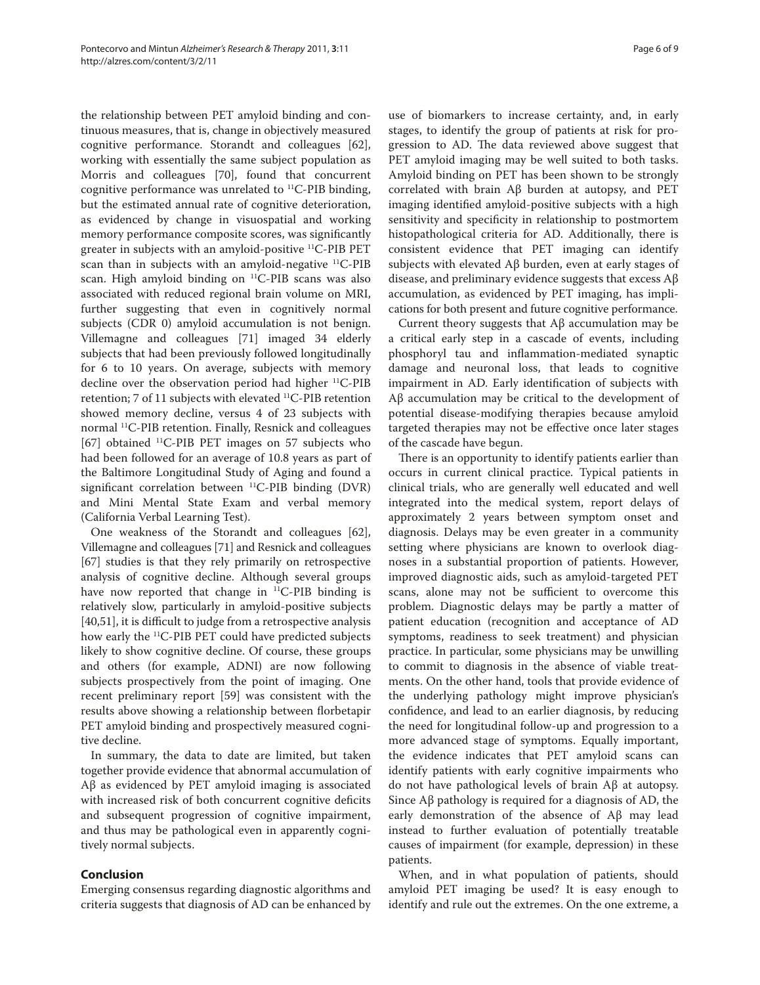the relationship between PET amyloid binding and continuous measures, that is, change in objectively measured cognitive performance. Storandt and colleagues [62], working with essentially the same subject population as Morris and colleagues [70], found that concurrent cognitive performance was unrelated to  $^{11}$ C-PIB binding, but the estimated annual rate of cognitive deterioration, as evidenced by change in visuospatial and working memory performance composite scores, was significantly greater in subjects with an amyloid-positive 11C-PIB PET scan than in subjects with an amyloid-negative  $^{11}$ C-PIB scan. High amyloid binding on 11C-PIB scans was also associated with reduced regional brain volume on MRI, further suggesting that even in cognitively normal subjects (CDR 0) amyloid accumulation is not benign. Villemagne and colleagues [71] imaged 34 elderly subjects that had been previously followed longitudinally for 6 to 10 years. On average, subjects with memory decline over the observation period had higher 11C-PIB retention; 7 of 11 subjects with elevated <sup>11</sup>C-PIB retention showed memory decline, versus 4 of 23 subjects with normal 11C-PIB retention. Finally, Resnick and colleagues [67] obtained <sup>11</sup>C-PIB PET images on 57 subjects who had been followed for an average of 10.8 years as part of the Baltimore Longitudinal Study of Aging and found a significant correlation between  $^{11}$ C-PIB binding (DVR) and Mini Mental State Exam and verbal memory (California Verbal Learning Test).

One weakness of the Storandt and colleagues [62], Villemagne and colleagues [71] and Resnick and colleagues [67] studies is that they rely primarily on retrospective analysis of cognitive decline. Although several groups have now reported that change in <sup>11</sup>C-PIB binding is relatively slow, particularly in amyloid-positive subjects [40,51], it is difficult to judge from a retrospective analysis how early the 11C-PIB PET could have predicted subjects likely to show cognitive decline. Of course, these groups and others (for example, ADNI) are now following subjects prospectively from the point of imaging. One recent preliminary report [59] was consistent with the results above showing a relationship between florbetapir PET amyloid binding and prospectively measured cognitive decline.

In summary, the data to date are limited, but taken together provide evidence that abnormal accumulation of Aβ as evidenced by PET amyloid imaging is associated with increased risk of both concurrent cognitive deficits and subsequent progression of cognitive impairment, and thus may be pathological even in apparently cognitively normal subjects.

## **Conclusion**

Emerging consensus regarding diagnostic algorithms and criteria suggests that diagnosis of AD can be enhanced by use of biomarkers to increase certainty, and, in early stages, to identify the group of patients at risk for progression to AD. The data reviewed above suggest that PET amyloid imaging may be well suited to both tasks. Amyloid binding on PET has been shown to be strongly correlated with brain Aβ burden at autopsy, and PET imaging identified amyloid-positive subjects with a high sensitivity and specificity in relationship to postmortem histopathological criteria for AD. Additionally, there is consistent evidence that PET imaging can identify subjects with elevated Aβ burden, even at early stages of disease, and preliminary evidence suggests that excess Aβ accumulation, as evidenced by PET imaging, has implications for both present and future cognitive performance.

Current theory suggests that Aβ accumulation may be a critical early step in a cascade of events, including phosphoryl tau and inflammation-mediated synaptic damage and neuronal loss, that leads to cognitive impairment in AD. Early identification of subjects with Aβ accumulation may be critical to the development of potential disease-modifying therapies because amyloid targeted therapies may not be effective once later stages of the cascade have begun.

There is an opportunity to identify patients earlier than occurs in current clinical practice. Typical patients in clinical trials, who are generally well educated and well integrated into the medical system, report delays of approximately 2 years between symptom onset and diagnosis. Delays may be even greater in a community setting where physicians are known to overlook diagnoses in a substantial proportion of patients. However, improved diagnostic aids, such as amyloid-targeted PET scans, alone may not be sufficient to overcome this problem. Diagnostic delays may be partly a matter of patient education (recognition and acceptance of AD symptoms, readiness to seek treatment) and physician practice. In particular, some physicians may be unwilling to commit to diagnosis in the absence of viable treatments. On the other hand, tools that provide evidence of the underlying pathology might improve physician's confidence, and lead to an earlier diagnosis, by reducing the need for longitudinal follow-up and progression to a more advanced stage of symptoms. Equally important, the evidence indicates that PET amyloid scans can identify patients with early cognitive impairments who do not have pathological levels of brain Aβ at autopsy. Since Aβ pathology is required for a diagnosis of AD, the early demonstration of the absence of Aβ may lead instead to further evaluation of potentially treatable causes of impairment (for example, depression) in these patients.

When, and in what population of patients, should amyloid PET imaging be used? It is easy enough to identify and rule out the extremes. On the one extreme, a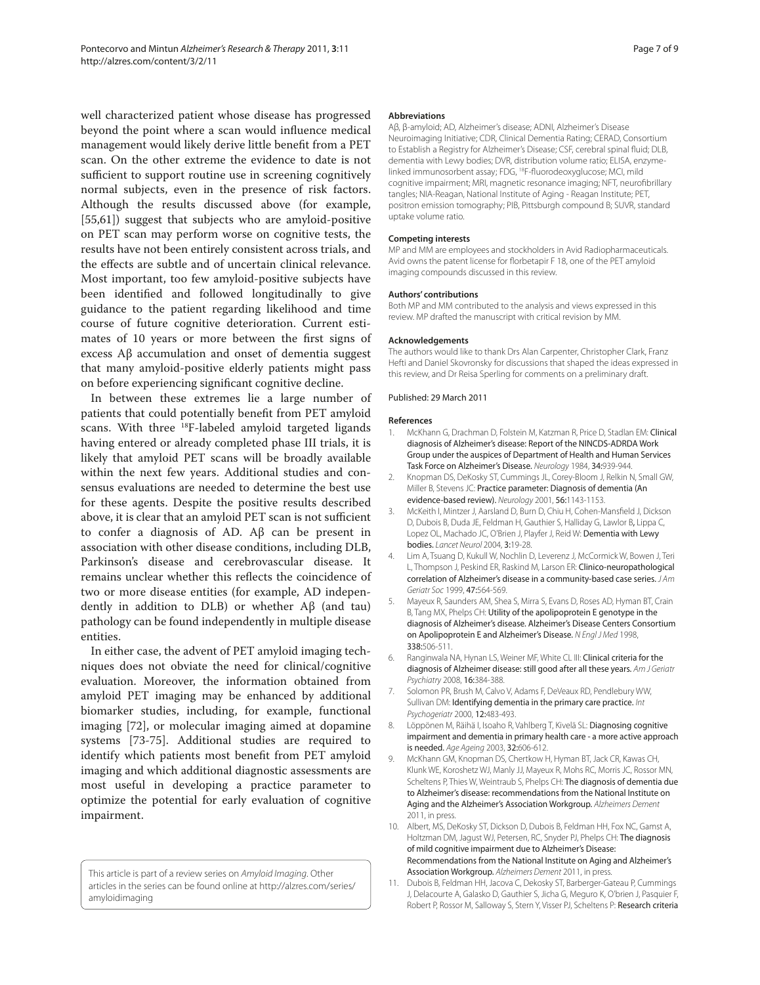well characterized patient whose disease has progressed beyond the point where a scan would influence medical management would likely derive little benefit from a PET scan. On the other extreme the evidence to date is not sufficient to support routine use in screening cognitively normal subjects, even in the presence of risk factors. Although the results discussed above (for example, [55,61]) suggest that subjects who are amyloid-positive on PET scan may perform worse on cognitive tests, the results have not been entirely consistent across trials, and the effects are subtle and of uncertain clinical relevance. Most important, too few amyloid-positive subjects have been identified and followed longitudinally to give guidance to the patient regarding likelihood and time course of future cognitive deterioration. Current estimates of 10 years or more between the first signs of excess Aβ accumulation and onset of dementia suggest that many amyloid-positive elderly patients might pass on before experiencing significant cognitive decline.

In between these extremes lie a large number of patients that could potentially benefit from PET amyloid scans. With three 18F-labeled amyloid targeted ligands having entered or already completed phase III trials, it is likely that amyloid PET scans will be broadly available within the next few years. Additional studies and consensus evaluations are needed to determine the best use for these agents. Despite the positive results described above, it is clear that an amyloid PET scan is not sufficient to confer a diagnosis of AD. Aβ can be present in association with other disease conditions, including DLB, Parkinson's disease and cerebrovascular disease. It remains unclear whether this reflects the coincidence of two or more disease entities (for example, AD independently in addition to DLB) or whether Aβ (and tau) pathology can be found independently in multiple disease entities.

In either case, the advent of PET amyloid imaging techniques does not obviate the need for clinical/cognitive evaluation. Moreover, the information obtained from amyloid PET imaging may be enhanced by additional biomarker studies, including, for example, functional imaging [72], or molecular imaging aimed at dopamine systems [73-75]. Additional studies are required to identify which patients most benefit from PET amyloid imaging and which additional diagnostic assessments are most useful in developing a practice parameter to optimize the potential for early evaluation of cognitive impairment.

This article is part of a review series on Amyloid Imaging. Other articles in the series can be found online at http://alzres.com/series/ amyloidimaging

#### **Abbreviations**

Aβ, β-amyloid; AD, Alzheimer's disease; ADNI, Alzheimer's Disease Neuroimaging Initiative; CDR, Clinical Dementia Rating; CERAD, Consortium to Establish a Registry for Alzheimer's Disease; CSF, cerebral spinal fluid; DLB, dementia with Lewy bodies; DVR, distribution volume ratio; ELISA, enzymelinked immunosorbent assay; FDG, <sup>18</sup>F-fluorodeoxyglucose; MCI, mild cognitive impairment; MRI, magnetic resonance imaging; NFT, neurofibrillary tangles; NIA-Reagan, National Institute of Aging - Reagan Institute; PET, positron emission tomography; PIB, Pittsburgh compound B; SUVR, standard uptake volume ratio.

#### **Competing interests**

MP and MM are employees and stockholders in Avid Radiopharmaceuticals. Avid owns the patent license for florbetapir F 18, one of the PET amyloid imaging compounds discussed in this review.

#### **Authors' contributions**

Both MP and MM contributed to the analysis and views expressed in this review. MP drafted the manuscript with critical revision by MM.

#### **Acknowledgements**

The authors would like to thank Drs Alan Carpenter, Christopher Clark, Franz Hefti and Daniel Skovronsky for discussions that shaped the ideas expressed in this review, and Dr Reisa Sperling for comments on a preliminary draft.

#### Published: 29 March 2011

#### **References**

- McKhann G, Drachman D, Folstein M, Katzman R, Price D, Stadlan EM: Clinical diagnosis of Alzheimer's disease: Report of the NINCDS-ADRDA Work Group under the auspices of Department of Health and Human Services Task Force on Alzheimer's Disease. Neurology 1984, 34:939-944.
- 2. Knopman DS, DeKosky ST, Cummings JL, Corey-Bloom J, Relkin N, Small GW, Miller B, Stevens JC: Practice parameter: Diagnosis of dementia (An evidence-based review). Neurology 2001, 56:1143-1153.
- 3. McKeith I, Mintzer J, Aarsland D, Burn D, Chiu H, Cohen-Mansfield J, Dickson D, Dubois B, Duda JE, Feldman H, Gauthier S, Halliday G, Lawlor B, Lippa C, Lopez OL, Machado JC, O'Brien J, Playfer J, Reid W: Dementia with Lewy bodies. Lancet Neurol 2004, 3:19-28.
- 4. Lim A, Tsuang D, Kukull W, Nochlin D, Leve renz J, McCormick W, Bowen J, Teri L, Thompson J, Peskind ER, Raskind M, Larson ER: Clinico-neuropathological correlation of Alzheimer's disease in a community-based case series. JAm Geriatr Soc 1999, 47:564-569.
- 5. Mayeux R, Saunders AM, Shea S, Mirra S, Evans D, Roses AD, Hyman BT, Crain B, Tang MX, Phelps CH: Utility of the apolipoprotein E genotype in the diagnosis of Alzheimer's disease. Alzheimer's Disease Centers Consortium on Apolipoprotein E and Alzheimer's Disease. N Engl J Med 1998, 338:506-511.
- 6. Ranginwala NA, Hynan LS, Weiner MF, White CL III: Clinical criteria for the diagnosis of Alzheimer disease: still good after all these years. Am J Geriatr Psychiatry 2008, 16:384-388.
- 7. Solomon PR, Brush M, Calvo V, Adams F, DeVeaux RD, Pendlebury WW, Sullivan DM: Identifying dementia in the primary care practice. Int Psychogeriatr 2000, 12:483-493.
- Löppönen M, Räihä I, Isoaho R, Vahlberg T, Kivelä SL: Diagnosing cognitive impairment and dementia in primary health care - a more active approach is needed. Age Ageing 2003, 32:606-612.
- 9. McKhann GM, Knopman DS, Chertkow H, Hyman BT, Jack CR, Kawas CH, Klunk WE, Koroshetz WJ, Manly JJ, Mayeux R, Mohs RC, Morris JC, Rossor MN, Scheltens P, Thies W, Weintraub S, Phelps CH: The diagnosis of dementia due to Alzheimer's disease: recommendations from the National Institute on Aging and the Alzheimer's Association Workgroup. Alzheimers Dement 2011 in press.
- 10. Albert, MS, DeKosky ST, Dickson D, Dubois B, Feldman HH, Fox NC, Gamst A, Holtzman DM, Jagust WJ, Petersen, RC, Snyder PJ, Phelps CH: The diagnosis of mild cognitive impairment due to Alzheimer's Disease: Recommendations from the National Institute on Aging and Alzheimer's Association Workgroup. Alzheimers Dement 2011, in press.
- 11. Dubois B, Feldman HH, Jacova C, Dekosky ST, Barberger-Gateau P, Cummings J, Delacourte A, Galasko D, Gauthier S, Jicha G, Meguro K, O'brien J, Pasquier F, Robert P, Rossor M, Salloway S, Stern Y, Visser PJ, Scheltens P: Research criteria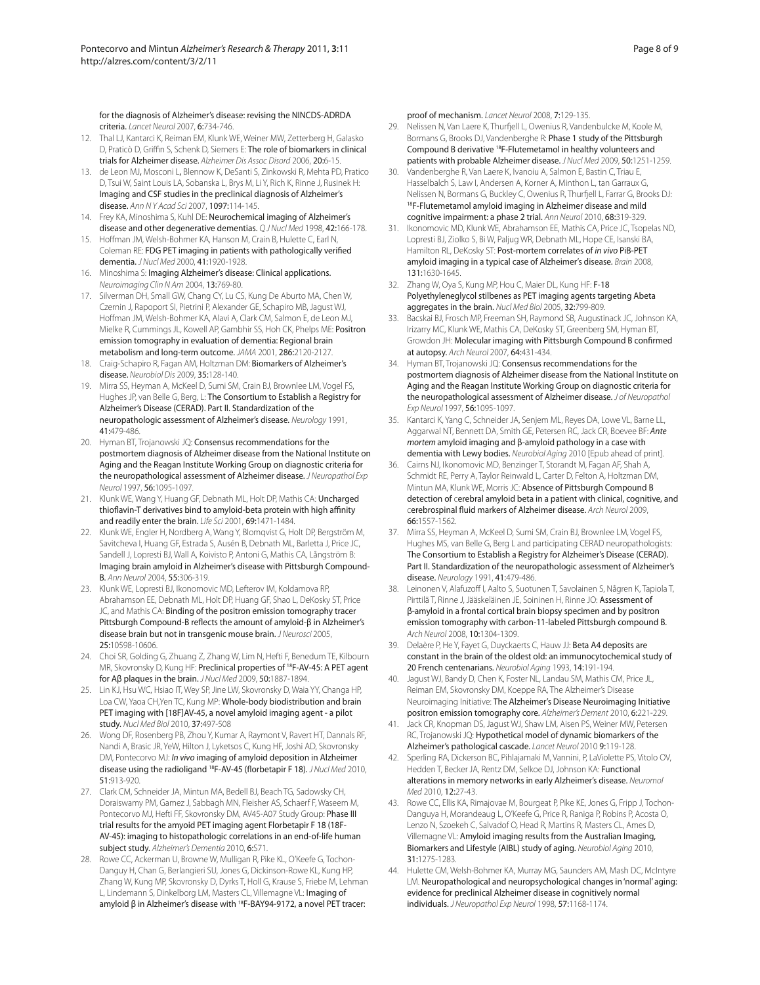for the diagnosis of Alzheimer's disease: revising the NINCDS-ADRDA criteria. Lancet Neurol 2007, 6:734-746.

- 12. Thal LJ, Kantarci K, Reiman EM, Klunk WE, Weiner MW, Zetterberg H, Galasko D, Praticò D, Griffin S, Schenk D, Siemers E: The role of biomarkers in clinical trials for Alzheimer disease. Alzheimer Dis Assoc Disord 2006, 20:6-15.
- 13. de Leon MJ, Mosconi L, Blennow K, DeSanti S, Zinkowski R, Mehta PD, Pratico D, Tsui W, Saint Louis LA, Sobanska L, Brys M, Li Y, Rich K, Rinne J, Rusinek H: Imaging and CSF studies in the preclinical diagnosis of Alzheimer's disease. Ann N Y Acad Sci 2007, 1097:114-145.
- 14. Frey KA, Minoshima S, Kuhl DE: Neurochemical imaging of Alzheimer's disease and other degenerative dementias. Q J Nucl Med 1998, 42:166-178.
- 15. Hoffman JM, Welsh-Bohmer KA, Hanson M, Crain B, Hulette C, Earl N, Coleman RE: FDG PET imaging in patients with pathologically verified dementia. J Nucl Med 2000, 41:1920-1928.
- 16. Minoshima S: Imaging Alzheimer's disease: Clinical applications. Neuroimaging Clin N Am 2004, 13:769-80.
- 17. Silverman DH, Small GW, Chang CY, Lu CS, Kung De Aburto MA, Chen W, Czernin J, Rapoport SI, Pietrini P, Alexander GE, Schapiro MB, Jagust WJ, Hoffman JM, Welsh-Bohmer KA, Alavi A, Clark CM, Salmon E, de Leon MJ, Mielke R, Cummings JL, Kowell AP, Gambhir SS, Hoh CK, Phelps ME: Positron emission tomography in evaluation of dementia: Regional brain metabolism and long-term outcome. JAMA 2001, 286:2120-2127.
- 18. Craig-Schapiro R, Fagan AM, Holtzman DM: Biomarkers of Alzheimer's disease. Neurobiol Dis 2009, 35:128-140.
- 19. Mirra SS, Heyman A, McKeel D, Sumi SM, Crain BJ, Brownlee LM, Vogel FS, Hughes JP, van Belle G, Berg, L: The Consortium to Establish a Registry for Alzheimer's Disease (CERAD). Part II. Standardization of the neuropathologic assessment of Alzheimer's disease. Neurology 1991, 41:479-486.
- 20. Hyman BT, Trojanowski JQ: Consensus recommendations for the postmortem diagnosis of Alzheimer disease from the National Institute on Aging and the Reagan Institute Working Group on diagnostic criteria for the neuropathological assessment of Alzheimer disease. J Neuropathol Exp Neurol 1997, 56:1095-1097.
- 21. Klunk WE, Wang Y, Huang GF, Debnath ML, Holt DP, Mathis CA: Uncharged thioflavin-T derivatives bind to amyloid-beta protein with high affinity and readily enter the brain. Life Sci 2001, 69:1471-1484.
- 22. Klunk WE, Engler H, Nordberg A, Wang Y, Blomqvist G, Holt DP, Bergström M, Savitcheva I, Huang GF, Estrada S, Ausén B, Debnath ML, Barletta J, Price JC, Sandell J, Lopresti BJ, Wall A, Koivisto P, Antoni G, Mathis CA, Långström B: Imaging brain amyloid in Alzheimer's disease with Pittsburgh Compound-B. Ann Neurol 2004, 55:306-319.
- 23. Klunk WE, Lopresti BJ, Ikonomovic MD, Lefterov IM, Koldamova RP, Abrahamson EE, Debnath ML, Holt DP, Huang GF, Shao L, DeKosky ST, Price JC, and Mathis CA: Binding of the positron emission tomography tracer Pittsburgh Compound-B reflects the amount of amyloid-β in Alzheimer's disease brain but not in transgenic mouse brain. J Neurosci 2005, 25:10598-10606.
- 24. Choi SR, Golding G, Zhuang Z, Zhang W, Lim N, Hefti F, Benedum TE, Kilbourn MR, Skovronsky D, Kung HF: Preclinical properties of <sup>18</sup>F-AV-45: A PET agent for Aβ plaques in the brain. J Nucl Med 2009, 50:1887-1894.
- 25. Lin KJ, Hsu WC, Hsiao IT, Wey SP, Jine LW, Skovronsky D, Waia YY, Changa HP, Loa CW, Yaoa CH,Yen TC, Kung MP: Whole-body biodistribution and brain PET imaging with [18F]AV-45, a novel amyloid imaging agent - a pilot study. Nucl Med Biol 2010, 37:497-508
- 26. Wong DF, Rosenberg PB, Zhou Y, Kumar A, Raymont V, Ravert HT, Dannals RF, Nandi A, Brasic JR, YeW, Hilton J, Lyketsos C, Kung HF, Joshi AD, Skovronsky DM, Pontecorvo MJ: In vivo imaging of amyloid deposition in Alzheimer disease using the radioligand <sup>18</sup>F-AV-45 (florbetapir F 18). J Nucl Med 2010, 51:913-920.
- 27. Clark CM, Schneider JA, Mintun MA, Bedell BJ, Beach TG, Sadowsky CH, Doraiswamy PM, Gamez J, Sabbagh MN, Fleisher AS, Schaerf F, Waseem M, Pontecorvo MJ, Hefti FF, Skovronsky DM, AV45-A07 Study Group: Phase III trial results for the amyoid PET imaging agent Florbetapir F 18 (18F-AV-45): imaging to histopathologic correlations in an end-of-life human subject study. Alzheimer's Dementia 2010, 6:S71.
- 28. Rowe CC, Ackerman U, Browne W, Mulligan R, Pike KL, O'Keefe G, Tochon-Danguy H, Chan G, Berlangieri SU, Jones G, Dickinson-Rowe KL, Kung HP, Zhang W, Kung MP, Skovronsky D, Dyrks T, Holl G, Krause S, Friebe M, Lehman L, Lindemann S, Dinkelborg LM, Masters CL, Villemagne VL: Imaging of amyloid β in Alzheimer's disease with 18F-BAY94-9172, a novel PET tracer:

proof of mechanism. Lancet Neurol 2008, 7:129-135.

- 29. Nelissen N, Van Laere K, Thurfjell L, Owenius R, Vandenbulcke M, Koole M, Bormans G, Brooks DJ, Vandenberghe R: Phase 1 study of the Pittsburgh Compound B derivative 18F-Flutemetamol in healthy volunteers and patients with probable Alzheimer disease. J Nucl Med 2009, 50:1251-1259.
- 30. Vandenberghe R, Van Laere K, Ivanoiu A, Salmon E, Bastin C, Triau E, Hasselbalch S, Law I, Andersen A, Korner A, Minthon L, tan Garraux G, Nelissen N, Bormans G, Buckley C, Owenius R, Thurfiell L, Farrar G, Brooks DJ: <sup>18</sup>F-Flutemetamol amyloid imaging in Alzheimer disease and mild cognitive impairment: a phase 2 trial. Ann Neurol 2010, 68:319-329.
- 31. Ikonomovic MD, Klunk WE, Abrahamson EE, Mathis CA, Price JC, Tsopelas ND, Lopresti BJ, Ziolko S, Bi W, Paljug WR, Debnath ML, Hope CE, Isanski BA, Hamilton RL, DeKosky ST: Post-mortem correlates of in vivo PiB-PET amyloid imaging in a typical case of Alzheimer's disease. Brain 2008, 131:1630-1645.
- 32. Zhang W, Oya S, Kung MP, Hou C, Maier DL, Kung HF: F-18 Polyethyleneglycol stilbenes as PET imaging agents targeting Abeta aggregates in the brain. Nucl Med Biol 2005, 32:799-809.
- 33. Bacskai BJ, Frosch MP, Freeman SH, Raymond SB, Augustinack JC, Johnson KA, Irizarry MC, Klunk WE, Mathis CA, DeKosky ST, Greenberg SM, Hyman BT, Growdon JH: Molecular imaging with Pittsburgh Compound B confirmed at autopsy. Arch Neurol 2007, 64:431-434.
- 34. Hyman BT, Trojanowski JQ: Consensus recommendations for the postmortem diagnosis of Alzheimer disease from the National Institute on Aging and the Reagan Institute Working Group on diagnostic criteria for the neuropathological assessment of Alzheimer disease. J of Neuropathol Exp Neurol 1997, 56:1095-1097.
- Kantarci K, Yang C, Schneider JA, Senjem ML, Reyes DA, Lowe VL, Barne LL, Aggarwal NT, Bennett DA, Smith GE, Petersen RC, Jack CR, Boevee BF: Ante mortem amyloid imaging and β-amyloid pathology in a case with dementia with Lewy bodies. Neurobiol Aging 2010 [Epub ahead of print].
- 36. Cairns NJ, Ikonomovic MD, Benzinger T, Storandt M, Fagan AF, Shah A, Schmidt RE, Perry A, Taylor Reinwald L, Carter D, Felton A, Holtzman DM, Mintun MA, Klunk WE, Morris JC: Absence of Pittsburgh Compound B detection of cerebral amyloid beta in a patient with clinical, cognitive, and cerebrospinal fluid markers of Alzheimer disease. Arch Neurol 2009, 66:1557-1562.
- 37. Mirra SS, Heyman A, McKeel D, Sumi SM, Crain BJ, Brownlee LM, Vogel FS, Hughes MS, van Belle G, Berg L and participating CERAD neuropathologists: The Consortium to Establish a Registry for Alzheimer's Disease (CERAD). Part II. Standardization of the neuropathologic assessment of Alzheimer's disease. Neurology 1991, 41:479-486.
- 38. Leinonen V, Alafuzoff I, Aalto S, Suotunen T, Savolainen S, Någren K, Tapiola T, Pirttilä T, Rinne J, Jääskeläinen JE, Soininen H, Rinne JO: Assessment of β-amyloid in a frontal cortical brain biopsy specimen and by positron emission tomography with carbon-11-labeled Pittsburgh compound B. Arch Neurol 2008, 10:1304-1309.
- 39. Delaère P, He Y, Fayet G, Duyckaerts C, Hauw JJ: Beta A4 deposits are constant in the brain of the oldest old: an immunocytochemical study of 20 French centenarians. Neurobiol Aging 1993, 14:191-194.
- 40. Jagust WJ, Bandy D, Chen K, Foster NL, Landau SM, Mathis CM, Price JL, Reiman EM, Skovronsky DM, Koeppe RA, The Alzheimer's Disease Neuroimaging Initiative: The Alzheimer's Disease Neuroimaging Initiative positron emission tomography core. Alzheimer's Dement 2010, 6:221-229.
- 41. Jack CR, Knopman DS, Jagust WJ, Shaw LM, Aisen PS, Weiner MW, Petersen RC, Trojanowski JQ: Hypothetical model of dynamic biomarkers of the Alzheimer's pathological cascade. Lancet Neurol 2010 9:119-128.
- 42. Sperling RA, Dickerson BC, Pihlajamaki M, Vannini, P, LaViolette PS, Vitolo OV, Hedden T, Becker JA, Rentz DM, Selkoe DJ, Johnson KA: Functional alterations in memory networks in early Alzheimer's disease. Neuromol Med 2010, 12:27-43.
- 43. Rowe CC, Ellis KA, Rimajovae M, Bourgeat P, Pike KE, Jones G, Fripp J, Tochon-Danguya H, Morandeaug L, O'Keefe G, Price R, Raniga P, Robins P, Acosta O, Lenzo N, Szoekeh C, Salvadof O, Head R, Martins R, Masters CL, Ames D, Villemagne VL: Amyloid imaging results from the Australian Imaging, Biomarkers and Lifestyle (AIBL) study of aging. Neurobiol Aging 2010, 31:1275-1283.
- 44. Hulette CM, Welsh-Bohmer KA, Murray MG, Saunders AM, Mash DC, McIntyre LM. Neuropathological and neuropsychological changes in 'normal' aging: evidence for preclinical Alzheimer disease in cognitively normal individuals. J Neuropathol Exp Neurol 1998, 57:1168-1174.